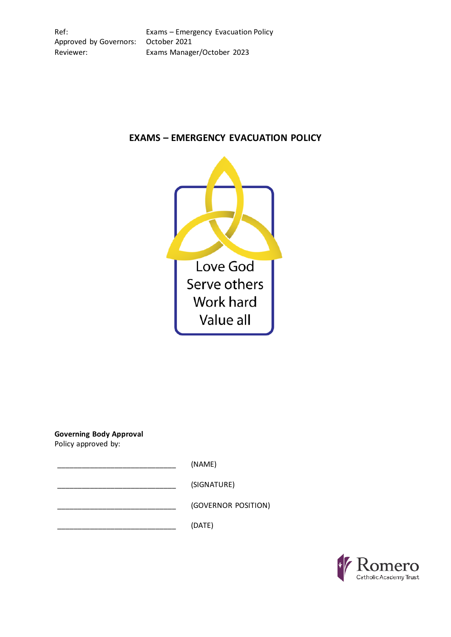Ref: Exams – Emergency Evacuation Policy Approved by Governors: October 2021 Reviewer: Exams Manager/October 2023



# **EXAMS – EMERGENCY EVACUATION POLICY**

**Governing Body Approval**

Policy approved by:

\_\_\_\_\_\_\_\_\_\_\_\_\_\_\_\_\_\_\_\_\_\_\_\_\_\_\_\_\_ (NAME)

\_\_\_\_\_\_\_\_\_\_\_\_\_\_\_\_\_\_\_\_\_\_\_\_\_\_\_\_\_ (SIGNATURE)

\_\_\_\_\_\_\_\_\_\_\_\_\_\_\_\_\_\_\_\_\_\_\_\_\_\_\_\_\_ (GOVERNOR POSITION)

 $(DATE)$ 

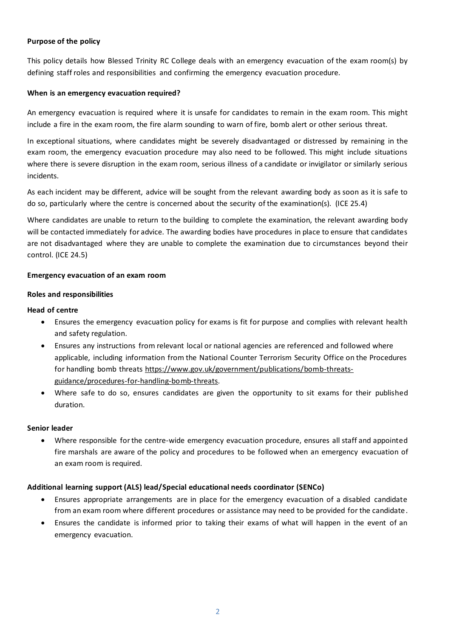### **Purpose of the policy**

This policy details how Blessed Trinity RC College deals with an emergency evacuation of the exam room(s) by defining staff roles and responsibilities and confirming the emergency evacuation procedure.

### **When is an emergency evacuation required?**

An emergency evacuation is required where it is unsafe for candidates to remain in the exam room. This might include a fire in the exam room, the fire alarm sounding to warn of fire, bomb alert or other serious threat.

In exceptional situations, where candidates might be severely disadvantaged or distressed by remaining in the exam room, the emergency evacuation procedure may also need to be followed. This might include situations where there is severe disruption in the exam room, serious illness of a candidate or invigilator or similarly serious incidents.

As each incident may be different, advice will be sought from the relevant awarding body as soon as it is safe to do so, particularly where the centre is concerned about the security of the examination(s). (ICE 25.4)

Where candidates are unable to return to the building to complete the examination, the relevant awarding body will be contacted immediately for advice. The awarding bodies have procedures in place to ensure that candidates are not disadvantaged where they are unable to complete the examination due to circumstances beyond their control. (ICE 24.5)

### **Emergency evacuation of an exam room**

### **Roles and responsibilities**

### **Head of centre**

- Ensures the emergency evacuation policy for exams is fit for purpose and complies with relevant health and safety regulation.
- Ensures any instructions from relevant local or national agencies are referenced and followed where applicable, including information from the National Counter Terrorism Security Office on the Procedures for handling bomb threats [https://www.gov.uk/government/publications/bomb-threats](https://www.gov.uk/government/publications/bomb-threats-guidance/procedures-for-handling-bomb-threats)[guidance/procedures-for-handling-bomb-threats.](https://www.gov.uk/government/publications/bomb-threats-guidance/procedures-for-handling-bomb-threats)
- Where safe to do so, ensures candidates are given the opportunity to sit exams for their published duration.

### **Senior leader**

• Where responsible for the centre-wide emergency evacuation procedure, ensures all staff and appointed fire marshals are aware of the policy and procedures to be followed when an emergency evacuation of an exam room is required.

### **Additional learning support (ALS) lead/Special educational needs coordinator (SENCo)**

- Ensures appropriate arrangements are in place for the emergency evacuation of a disabled candidate from an exam room where different procedures or assistance may need to be provided for the candidate.
- Ensures the candidate is informed prior to taking their exams of what will happen in the event of an emergency evacuation.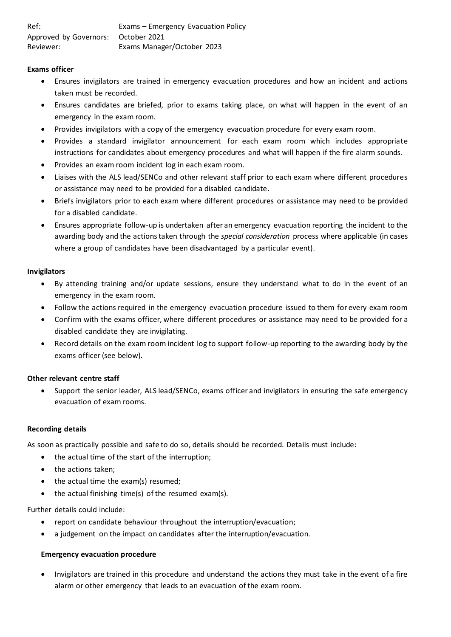### **Exams officer**

- Ensures invigilators are trained in emergency evacuation procedures and how an incident and actions taken must be recorded.
- Ensures candidates are briefed, prior to exams taking place, on what will happen in the event of an emergency in the exam room.
- Provides invigilators with a copy of the emergency evacuation procedure for every exam room.
- Provides a standard invigilator announcement for each exam room which includes appropriate instructions for candidates about emergency procedures and what will happen if the fire alarm sounds.
- Provides an exam room incident log in each exam room.
- Liaises with the ALS lead/SENCo and other relevant staff prior to each exam where different procedures or assistance may need to be provided for a disabled candidate.
- Briefs invigilators prior to each exam where different procedures or assistance may need to be provided for a disabled candidate.
- Ensures appropriate follow-up is undertaken after an emergency evacuation reporting the incident to the awarding body and the actions taken through the *special consideration* process where applicable (in cases where a group of candidates have been disadvantaged by a particular event).

### **Invigilators**

- By attending training and/or update sessions, ensure they understand what to do in the event of an emergency in the exam room.
- Follow the actions required in the emergency evacuation procedure issued to them for every exam room
- Confirm with the exams officer, where different procedures or assistance may need to be provided for a disabled candidate they are invigilating.
- Record details on the exam room incident log to support follow-up reporting to the awarding body by the exams officer(see below).

### **Other relevant centre staff**

• Support the senior leader, ALS lead/SENCo, exams officer and invigilators in ensuring the safe emergency evacuation of exam rooms.

### **Recording details**

As soon as practically possible and safe to do so, details should be recorded. Details must include:

- the actual time of the start of the interruption;
- the actions taken;
- the actual time the exam(s) resumed;
- the actual finishing time(s) of the resumed exam(s).

Further details could include:

- report on candidate behaviour throughout the interruption/evacuation;
- a judgement on the impact on candidates after the interruption/evacuation.

### **Emergency evacuation procedure**

• Invigilators are trained in this procedure and understand the actions they must take in the event of a fire alarm or other emergency that leads to an evacuation of the exam room.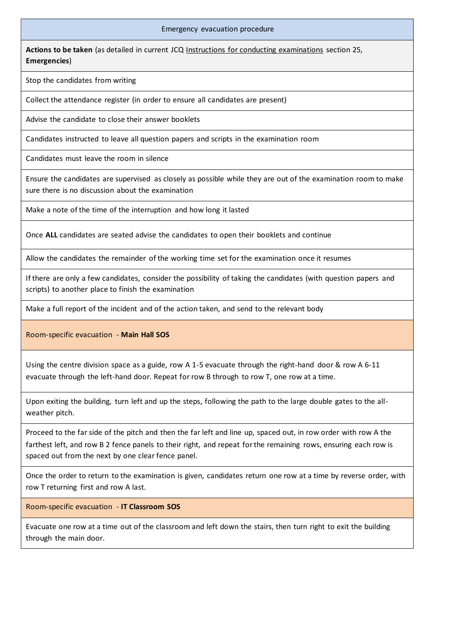## Ref: Exams – Emergency Evacuation Policy Emergency evacuation procedure

Actions to be taken (as detailed in current JCQ [Instructions for conducting examinations](http://www.jcq.org.uk/exams-office/ice---instructions-for-conducting-examinations) section 25, **Emergencies**)

Stop the candidates from writing

Approved by Governors: October 2021

Collect the attendance register (in order to ensure all candidates are present)

Advise the candidate to close their answer booklets

Candidates instructed to leave all question papers and scripts in the examination room

Candidates must leave the room in silence

Ensure the candidates are supervised as closely as possible while they are out of the examination room to make sure there is no discussion about the examination

Make a note of the time of the interruption and how long it lasted

Once **ALL** candidates are seated advise the candidates to open their booklets and continue

Allow the candidates the remainder of the working time set for the examination once it resumes

If there are only a few candidates, consider the possibility of taking the candidates (with question papers and scripts) to another place to finish the examination

Make a full report of the incident and of the action taken, and send to the relevant body

Room-specific evacuation - **Main Hall SOS**

Using the centre division space as a guide, row A 1-5 evacuate through the right-hand door & row A 6-11 evacuate through the left-hand door. Repeat for row B through to row T, one row at a time.

Upon exiting the building, turn left and up the steps, following the path to the large double gates to the allweather pitch.

Proceed to the far side of the pitch and then the far left and line up, spaced out, in row order with row A the farthest left, and row B 2 fence panels to their right, and repeat for the remaining rows, ensuring each row is spaced out from the next by one clear fence panel.

Once the order to return to the examination is given, candidates return one row at a time by reverse order, with row T returning first and row A last.

Room-specific evacuation - **IT Classroom SOS**

Evacuate one row at a time out of the classroom and left down the stairs, then turn right to exit the building through the main door.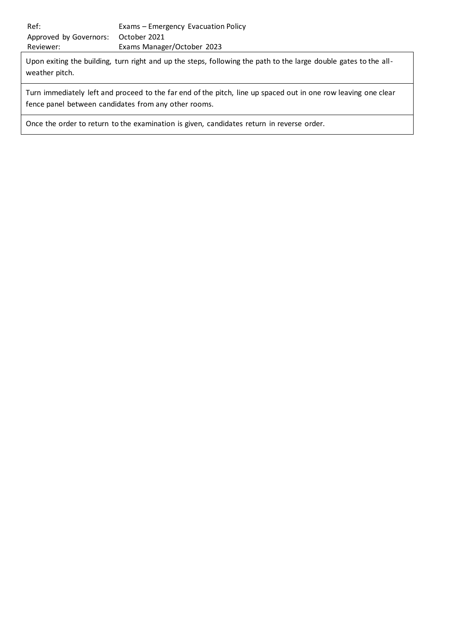Upon exiting the building, turn right and up the steps, following the path to the large double gates to the allweather pitch.

Turn immediately left and proceed to the far end of the pitch, line up spaced out in one row leaving one clear fence panel between candidates from any other rooms.

Once the order to return to the examination is given, candidates return in reverse order.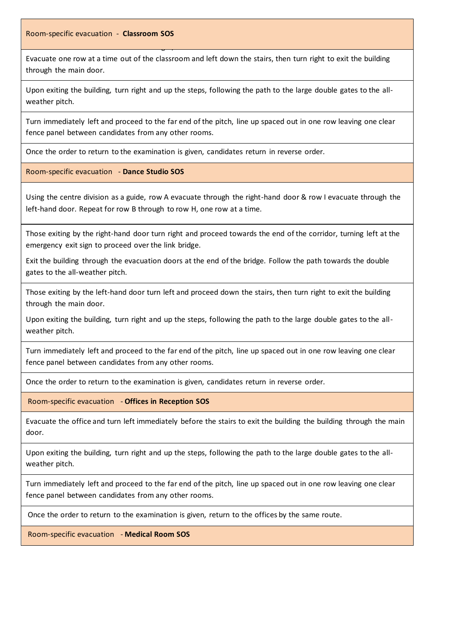Ref: Exams – Emergency Evacuation Policy Room-specific evacuation - **Classroom SOS** 

Reviewer: Exams Manager/October 2023

Evacuate one row at a time out of the classroom and left down the stairs, then turn right to exit the building through the main door.

Upon exiting the building, turn right and up the steps, following the path to the large double gates to the allweather pitch.

Turn immediately left and proceed to the far end of the pitch, line up spaced out in one row leaving one clear fence panel between candidates from any other rooms.

Once the order to return to the examination is given, candidates return in reverse order.

Room-specific evacuation - **Dance Studio SOS**

Using the centre division as a guide, row A evacuate through the right-hand door & row I evacuate through the left-hand door. Repeat for row B through to row H, one row at a time.

Those exiting by the right-hand door turn right and proceed towards the end of the corridor, turning left at the emergency exit sign to proceed over the link bridge.

Exit the building through the evacuation doors at the end of the bridge. Follow the path towards the double gates to the all-weather pitch.

Those exiting by the left-hand door turn left and proceed down the stairs, then turn right to exit the building through the main door.

Upon exiting the building, turn right and up the steps, following the path to the large double gates to the allweather pitch.

Turn immediately left and proceed to the far end of the pitch, line up spaced out in one row leaving one clear fence panel between candidates from any other rooms.

Once the order to return to the examination is given, candidates return in reverse order.

Room-specific evacuation - **Offices in Reception SOS**

Evacuate the office and turn left immediately before the stairs to exit the building the building through the main door.

Upon exiting the building, turn right and up the steps, following the path to the large double gates to the allweather pitch.

Turn immediately left and proceed to the far end of the pitch, line up spaced out in one row leaving one clear fence panel between candidates from any other rooms.

Once the order to return to the examination is given, return to the offices by the same route.

Room-specific evacuation - **Medical Room SOS**